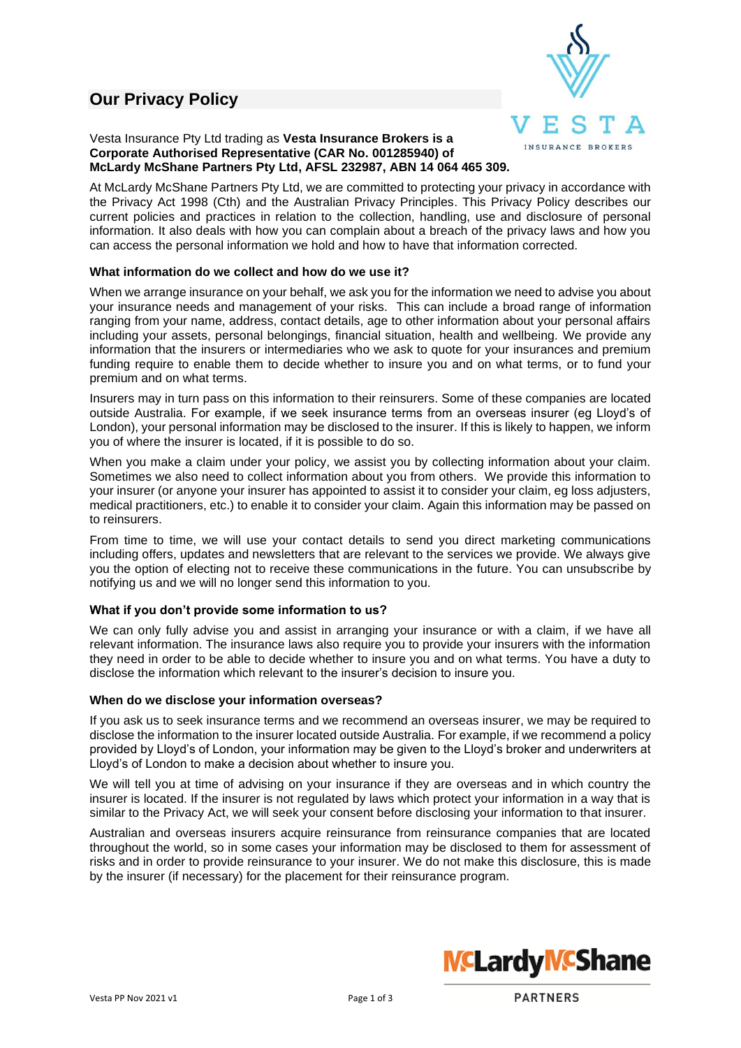# **Our Privacy Policy**



## Vesta Insurance Pty Ltd trading as **Vesta Insurance Brokers is a Corporate Authorised Representative (CAR No. 001285940) of McLardy McShane Partners Pty Ltd, AFSL 232987, ABN 14 064 465 309.**

At McLardy McShane Partners Pty Ltd, we are committed to protecting your privacy in accordance with the Privacy Act 1998 (Cth) and the Australian Privacy Principles. This Privacy Policy describes our current policies and practices in relation to the collection, handling, use and disclosure of personal information. It also deals with how you can complain about a breach of the privacy laws and how you can access the personal information we hold and how to have that information corrected.

# **What information do we collect and how do we use it?**

When we arrange insurance on your behalf, we ask you for the information we need to advise you about your insurance needs and management of your risks. This can include a broad range of information ranging from your name, address, contact details, age to other information about your personal affairs including your assets, personal belongings, financial situation, health and wellbeing. We provide any information that the insurers or intermediaries who we ask to quote for your insurances and premium funding require to enable them to decide whether to insure you and on what terms, or to fund your premium and on what terms.

Insurers may in turn pass on this information to their reinsurers. Some of these companies are located outside Australia. For example, if we seek insurance terms from an overseas insurer (eg Lloyd's of London), your personal information may be disclosed to the insurer. If this is likely to happen, we inform you of where the insurer is located, if it is possible to do so.

When you make a claim under your policy, we assist you by collecting information about your claim. Sometimes we also need to collect information about you from others. We provide this information to your insurer (or anyone your insurer has appointed to assist it to consider your claim, eg loss adjusters, medical practitioners, etc.) to enable it to consider your claim. Again this information may be passed on to reinsurers.

From time to time, we will use your contact details to send you direct marketing communications including offers, updates and newsletters that are relevant to the services we provide. We always give you the option of electing not to receive these communications in the future. You can unsubscribe by notifying us and we will no longer send this information to you.

## **What if you don't provide some information to us?**

We can only fully advise you and assist in arranging your insurance or with a claim, if we have all relevant information. The insurance laws also require you to provide your insurers with the information they need in order to be able to decide whether to insure you and on what terms. You have a duty to disclose the information which relevant to the insurer's decision to insure you.

#### **When do we disclose your information overseas?**

If you ask us to seek insurance terms and we recommend an overseas insurer, we may be required to disclose the information to the insurer located outside Australia. For example, if we recommend a policy provided by Lloyd's of London, your information may be given to the Lloyd's broker and underwriters at Lloyd's of London to make a decision about whether to insure you.

We will tell you at time of advising on your insurance if they are overseas and in which country the insurer is located. If the insurer is not regulated by laws which protect your information in a way that is similar to the Privacy Act, we will seek your consent before disclosing your information to that insurer.

Australian and overseas insurers acquire reinsurance from reinsurance companies that are located throughout the world, so in some cases your information may be disclosed to them for assessment of risks and in order to provide reinsurance to your insurer. We do not make this disclosure, this is made by the insurer (if necessary) for the placement for their reinsurance program.

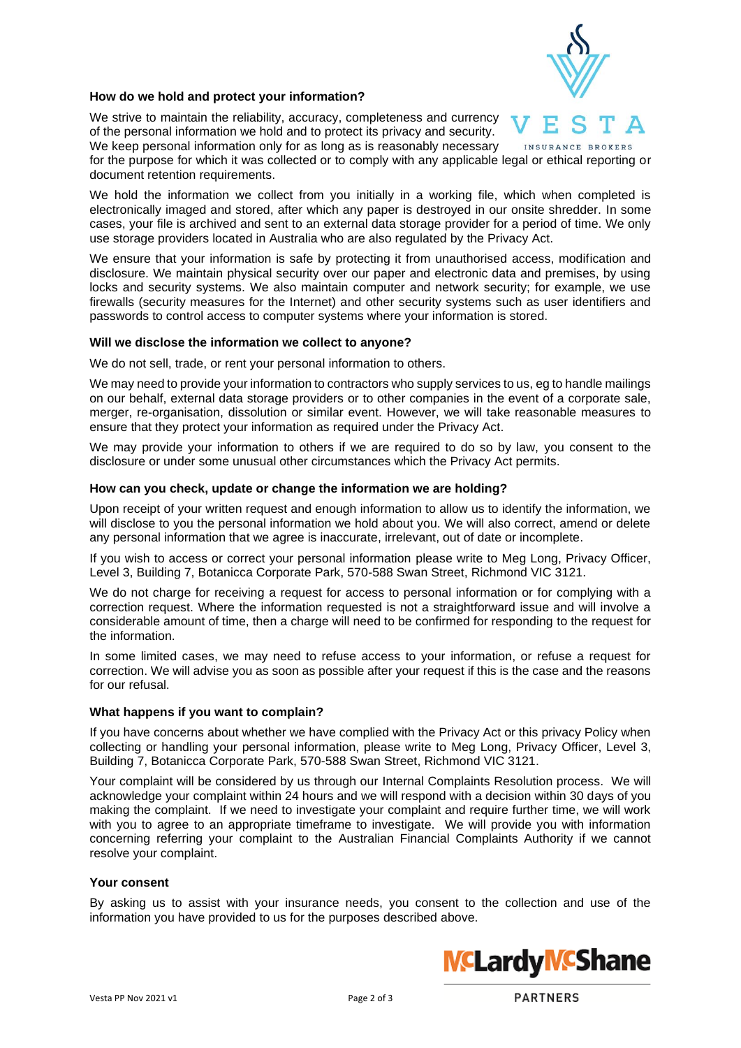

## **How do we hold and protect your information?**

We strive to maintain the reliability, accuracy, completeness and currency of the personal information we hold and to protect its privacy and security. We keep personal information only for as long as is reasonably necessary

INSURANCE BROKERS for the purpose for which it was collected or to comply with any applicable legal or ethical reporting or document retention requirements.

We hold the information we collect from you initially in a working file, which when completed is electronically imaged and stored, after which any paper is destroyed in our onsite shredder. In some cases, your file is archived and sent to an external data storage provider for a period of time. We only use storage providers located in Australia who are also regulated by the Privacy Act.

We ensure that your information is safe by protecting it from unauthorised access, modification and disclosure. We maintain physical security over our paper and electronic data and premises, by using locks and security systems. We also maintain computer and network security; for example, we use firewalls (security measures for the Internet) and other security systems such as user identifiers and passwords to control access to computer systems where your information is stored.

#### **Will we disclose the information we collect to anyone?**

We do not sell, trade, or rent your personal information to others.

We may need to provide your information to contractors who supply services to us, eg to handle mailings on our behalf, external data storage providers or to other companies in the event of a corporate sale, merger, re-organisation, dissolution or similar event. However, we will take reasonable measures to ensure that they protect your information as required under the Privacy Act.

We may provide your information to others if we are required to do so by law, you consent to the disclosure or under some unusual other circumstances which the Privacy Act permits.

#### **How can you check, update or change the information we are holding?**

Upon receipt of your written request and enough information to allow us to identify the information, we will disclose to you the personal information we hold about you. We will also correct, amend or delete any personal information that we agree is inaccurate, irrelevant, out of date or incomplete.

If you wish to access or correct your personal information please write to Meg Long, Privacy Officer, Level 3, Building 7, Botanicca Corporate Park, 570-588 Swan Street, Richmond VIC 3121.

We do not charge for receiving a request for access to personal information or for complying with a correction request. Where the information requested is not a straightforward issue and will involve a considerable amount of time, then a charge will need to be confirmed for responding to the request for the information.

In some limited cases, we may need to refuse access to your information, or refuse a request for correction. We will advise you as soon as possible after your request if this is the case and the reasons for our refusal.

#### **What happens if you want to complain?**

If you have concerns about whether we have complied with the Privacy Act or this privacy Policy when collecting or handling your personal information, please write to Meg Long, Privacy Officer, Level 3, Building 7, Botanicca Corporate Park, 570-588 Swan Street, Richmond VIC 3121.

Your complaint will be considered by us through our Internal Complaints Resolution process. We will acknowledge your complaint within 24 hours and we will respond with a decision within 30 days of you making the complaint. If we need to investigate your complaint and require further time, we will work with you to agree to an appropriate timeframe to investigate. We will provide you with information concerning referring your complaint to the Australian Financial Complaints Authority if we cannot resolve your complaint.

#### **Your consent**

By asking us to assist with your insurance needs, you consent to the collection and use of the information you have provided to us for the purposes described above.